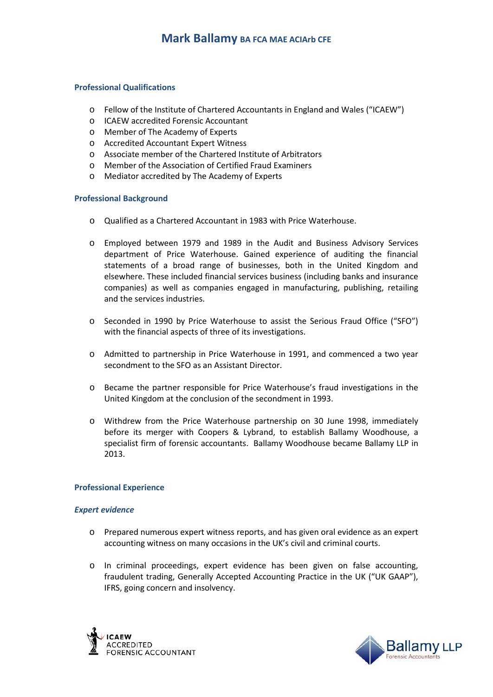### **Professional Qualifications**

- o Fellow of the Institute of Chartered Accountants in England and Wales ("ICAEW")
- o ICAEW accredited Forensic Accountant
- o Member of The Academy of Experts
- o Accredited Accountant Expert Witness
- o Associate member of the Chartered Institute of Arbitrators
- o Member of the Association of Certified Fraud Examiners
- o Mediator accredited by The Academy of Experts

### **Professional Background**

- o Qualified as a Chartered Accountant in 1983 with Price Waterhouse.
- o Employed between 1979 and 1989 in the Audit and Business Advisory Services department of Price Waterhouse. Gained experience of auditing the financial statements of a broad range of businesses, both in the United Kingdom and elsewhere. These included financial services business (including banks and insurance companies) as well as companies engaged in manufacturing, publishing, retailing and the services industries.
- o Seconded in 1990 by Price Waterhouse to assist the Serious Fraud Office ("SFO") with the financial aspects of three of its investigations.
- o Admitted to partnership in Price Waterhouse in 1991, and commenced a two year secondment to the SFO as an Assistant Director.
- o Became the partner responsible for Price Waterhouse's fraud investigations in the United Kingdom at the conclusion of the secondment in 1993.
- o Withdrew from the Price Waterhouse partnership on 30 June 1998, immediately before its merger with Coopers & Lybrand, to establish Ballamy Woodhouse, a specialist firm of forensic accountants. Ballamy Woodhouse became Ballamy LLP in 2013.

### **Professional Experience**

### *Expert evidence*

- o Prepared numerous expert witness reports, and has given oral evidence as an expert accounting witness on many occasions in the UK's civil and criminal courts.
- o In criminal proceedings, expert evidence has been given on false accounting, fraudulent trading, Generally Accepted Accounting Practice in the UK ("UK GAAP"), IFRS, going concern and insolvency.



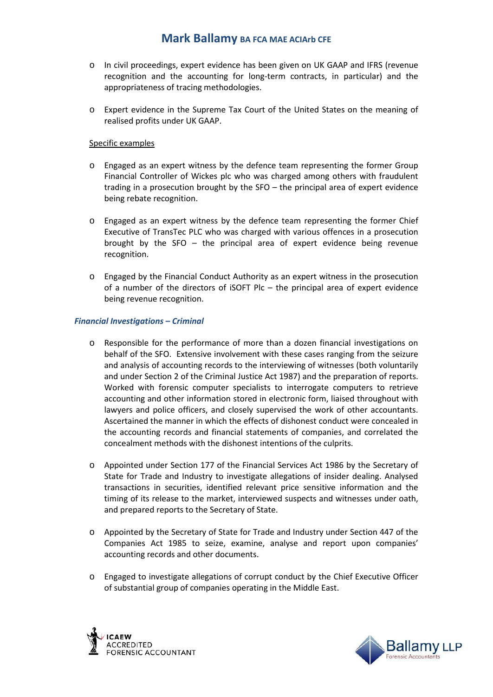# **Mark Ballamy BA FCA MAE ACIArb CFE**

- o In civil proceedings, expert evidence has been given on UK GAAP and IFRS (revenue recognition and the accounting for long-term contracts, in particular) and the appropriateness of tracing methodologies.
- o Expert evidence in the Supreme Tax Court of the United States on the meaning of realised profits under UK GAAP.

## Specific examples

- o Engaged as an expert witness by the defence team representing the former Group Financial Controller of Wickes plc who was charged among others with fraudulent trading in a prosecution brought by the SFO – the principal area of expert evidence being rebate recognition.
- o Engaged as an expert witness by the defence team representing the former Chief Executive of TransTec PLC who was charged with various offences in a prosecution brought by the SFO – the principal area of expert evidence being revenue recognition.
- o Engaged by the Financial Conduct Authority as an expert witness in the prosecution of a number of the directors of iSOFT Plc – the principal area of expert evidence being revenue recognition.

## *Financial Investigations – Criminal*

- o Responsible for the performance of more than a dozen financial investigations on behalf of the SFO. Extensive involvement with these cases ranging from the seizure and analysis of accounting records to the interviewing of witnesses (both voluntarily and under Section 2 of the Criminal Justice Act 1987) and the preparation of reports. Worked with forensic computer specialists to interrogate computers to retrieve accounting and other information stored in electronic form, liaised throughout with lawyers and police officers, and closely supervised the work of other accountants. Ascertained the manner in which the effects of dishonest conduct were concealed in the accounting records and financial statements of companies, and correlated the concealment methods with the dishonest intentions of the culprits.
- o Appointed under Section 177 of the Financial Services Act 1986 by the Secretary of State for Trade and Industry to investigate allegations of insider dealing. Analysed transactions in securities, identified relevant price sensitive information and the timing of its release to the market, interviewed suspects and witnesses under oath, and prepared reports to the Secretary of State.
- o Appointed by the Secretary of State for Trade and Industry under Section 447 of the Companies Act 1985 to seize, examine, analyse and report upon companies' accounting records and other documents.
- o Engaged to investigate allegations of corrupt conduct by the Chief Executive Officer of substantial group of companies operating in the Middle East.



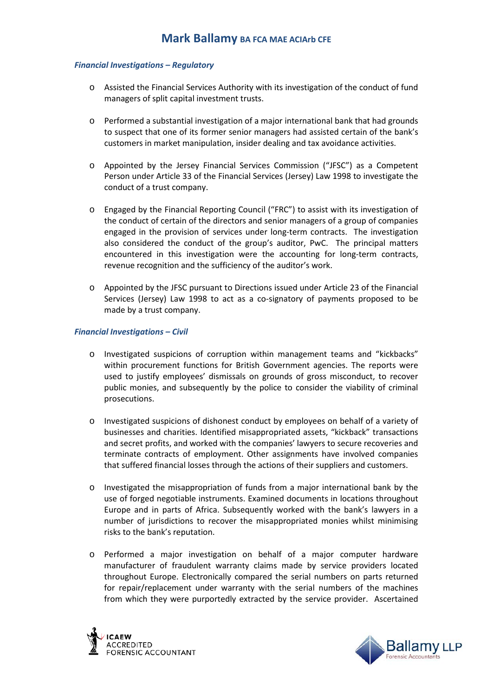## *Financial Investigations – Regulatory*

- o Assisted the Financial Services Authority with its investigation of the conduct of fund managers of split capital investment trusts.
- o Performed a substantial investigation of a major international bank that had grounds to suspect that one of its former senior managers had assisted certain of the bank's customers in market manipulation, insider dealing and tax avoidance activities.
- o Appointed by the Jersey Financial Services Commission ("JFSC") as a Competent Person under Article 33 of the Financial Services (Jersey) Law 1998 to investigate the conduct of a trust company.
- o Engaged by the Financial Reporting Council ("FRC") to assist with its investigation of the conduct of certain of the directors and senior managers of a group of companies engaged in the provision of services under long-term contracts. The investigation also considered the conduct of the group's auditor, PwC. The principal matters encountered in this investigation were the accounting for long-term contracts, revenue recognition and the sufficiency of the auditor's work.
- o Appointed by the JFSC pursuant to Directions issued under Article 23 of the Financial Services (Jersey) Law 1998 to act as a co-signatory of payments proposed to be made by a trust company.

## *Financial Investigations – Civil*

- o Investigated suspicions of corruption within management teams and "kickbacks" within procurement functions for British Government agencies. The reports were used to justify employees' dismissals on grounds of gross misconduct, to recover public monies, and subsequently by the police to consider the viability of criminal prosecutions.
- o Investigated suspicions of dishonest conduct by employees on behalf of a variety of businesses and charities. Identified misappropriated assets, "kickback" transactions and secret profits, and worked with the companies' lawyers to secure recoveries and terminate contracts of employment. Other assignments have involved companies that suffered financial losses through the actions of their suppliers and customers.
- o Investigated the misappropriation of funds from a major international bank by the use of forged negotiable instruments. Examined documents in locations throughout Europe and in parts of Africa. Subsequently worked with the bank's lawyers in a number of jurisdictions to recover the misappropriated monies whilst minimising risks to the bank's reputation.
- o Performed a major investigation on behalf of a major computer hardware manufacturer of fraudulent warranty claims made by service providers located throughout Europe. Electronically compared the serial numbers on parts returned for repair/replacement under warranty with the serial numbers of the machines from which they were purportedly extracted by the service provider. Ascertained